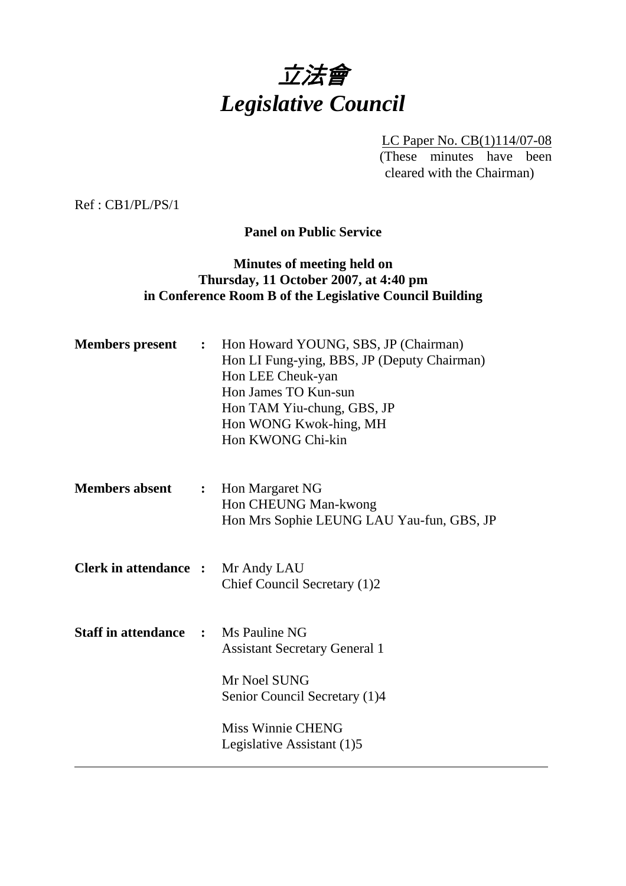

LC Paper No. CB(1)114/07-08 (These minutes have been cleared with the Chairman)

Ref : CB1/PL/PS/1

**Panel on Public Service** 

# **Minutes of meeting held on Thursday, 11 October 2007, at 4:40 pm in Conference Room B of the Legislative Council Building**

| <b>Members</b> present       | $\ddot{\cdot}$ | Hon Howard YOUNG, SBS, JP (Chairman)<br>Hon LI Fung-ying, BBS, JP (Deputy Chairman)<br>Hon LEE Cheuk-yan<br>Hon James TO Kun-sun<br>Hon TAM Yiu-chung, GBS, JP<br>Hon WONG Kwok-hing, MH<br>Hon KWONG Chi-kin |
|------------------------------|----------------|---------------------------------------------------------------------------------------------------------------------------------------------------------------------------------------------------------------|
| <b>Members absent</b>        | $\ddot{\cdot}$ | Hon Margaret NG<br>Hon CHEUNG Man-kwong<br>Hon Mrs Sophie LEUNG LAU Yau-fun, GBS, JP                                                                                                                          |
| <b>Clerk in attendance :</b> |                | Mr Andy LAU<br>Chief Council Secretary (1)2                                                                                                                                                                   |
| <b>Staff in attendance</b>   | $\mathbf{r}$   | Ms Pauline NG<br><b>Assistant Secretary General 1</b>                                                                                                                                                         |
|                              |                | Mr Noel SUNG<br>Senior Council Secretary (1)4                                                                                                                                                                 |
|                              |                | Miss Winnie CHENG<br>Legislative Assistant (1)5                                                                                                                                                               |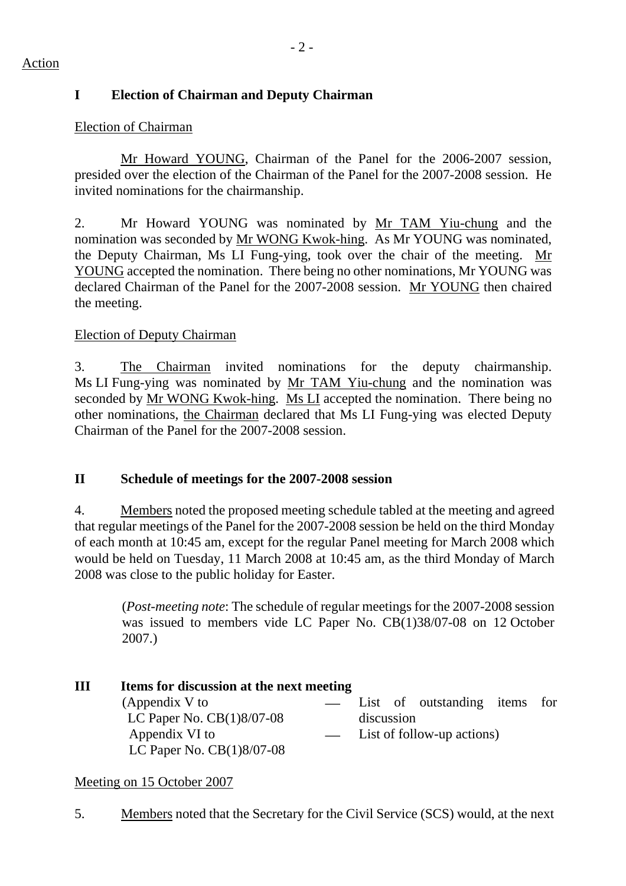# **I Election of Chairman and Deputy Chairman**

# Election of Chairman

Mr Howard YOUNG, Chairman of the Panel for the 2006-2007 session, presided over the election of the Chairman of the Panel for the 2007-2008 session. He invited nominations for the chairmanship.

2. Mr Howard YOUNG was nominated by Mr TAM Yiu-chung and the nomination was seconded by Mr WONG Kwok-hing. As Mr YOUNG was nominated, the Deputy Chairman, Ms LI Fung-ying, took over the chair of the meeting. Mr YOUNG accepted the nomination. There being no other nominations, Mr YOUNG was declared Chairman of the Panel for the 2007-2008 session. Mr YOUNG then chaired the meeting.

# Election of Deputy Chairman

3. The Chairman invited nominations for the deputy chairmanship. Ms LI Fung-ying was nominated by Mr TAM Yiu-chung and the nomination was seconded by Mr WONG Kwok-hing. Ms LI accepted the nomination. There being no other nominations, the Chairman declared that Ms LI Fung-ying was elected Deputy Chairman of the Panel for the 2007-2008 session.

# **II Schedule of meetings for the 2007-2008 session**

4. Members noted the proposed meeting schedule tabled at the meeting and agreed that regular meetings of the Panel for the 2007-2008 session be held on the third Monday of each month at 10:45 am, except for the regular Panel meeting for March 2008 which would be held on Tuesday, 11 March 2008 at 10:45 am, as the third Monday of March 2008 was close to the public holiday for Easter.

(*Post-meeting note*: The schedule of regular meetings for the 2007-2008 session was issued to members vide LC Paper No. CB(1)38/07-08 on 12 October 2007.)

| Ш | Items for discussion at the next meeting |  |            |  |                               |  |  |  |  |  |
|---|------------------------------------------|--|------------|--|-------------------------------|--|--|--|--|--|
|   | (Appendix V to                           |  |            |  | List of outstanding items for |  |  |  |  |  |
|   | LC Paper No. $CB(1)8/07-08$              |  | discussion |  |                               |  |  |  |  |  |
|   | Appendix VI to                           |  |            |  | - List of follow-up actions)  |  |  |  |  |  |
|   | LC Paper No. $CB(1)8/07-08$              |  |            |  |                               |  |  |  |  |  |

### Meeting on 15 October 2007

5. Members noted that the Secretary for the Civil Service (SCS) would, at the next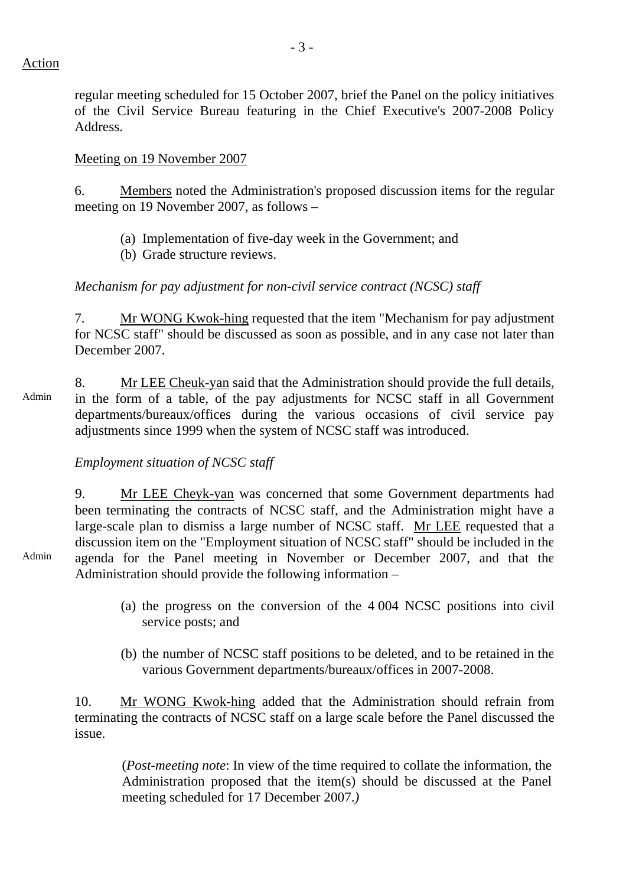regular meeting scheduled for 15 October 2007, brief the Panel on the policy initiatives of the Civil Service Bureau featuring in the Chief Executive's 2007-2008 Policy Address.

#### Meeting on 19 November 2007

6. Members noted the Administration's proposed discussion items for the regular meeting on 19 November 2007, as follows –

- (a) Implementation of five-day week in the Government; and
- (b) Grade structure reviews.

# *Mechanism for pay adjustment for non-civil service contract (NCSC) staff*

7. Mr WONG Kwok-hing requested that the item "Mechanism for pay adjustment for NCSC staff" should be discussed as soon as possible, and in any case not later than December 2007.

Admin 8. Mr LEE Cheuk-yan said that the Administration should provide the full details, in the form of a table, of the pay adjustments for NCSC staff in all Government departments/bureaux/offices during the various occasions of civil service pay adjustments since 1999 when the system of NCSC staff was introduced.

### *Employment situation of NCSC staff*

9. Mr LEE Cheyk-yan was concerned that some Government departments had been terminating the contracts of NCSC staff, and the Administration might have a large-scale plan to dismiss a large number of NCSC staff. Mr LEE requested that a discussion item on the "Employment situation of NCSC staff" should be included in the agenda for the Panel meeting in November or December 2007, and that the Administration should provide the following information –

- Admin
- (a) the progress on the conversion of the 4 004 NCSC positions into civil service posts; and
- (b) the number of NCSC staff positions to be deleted, and to be retained in the various Government departments/bureaux/offices in 2007-2008.

10. Mr WONG Kwok-hing added that the Administration should refrain from terminating the contracts of NCSC staff on a large scale before the Panel discussed the issue.

 (*Post-meeting note*: In view of the time required to collate the information, the Administration proposed that the item(s) should be discussed at the Panel meeting scheduled for 17 December 2007.*)*